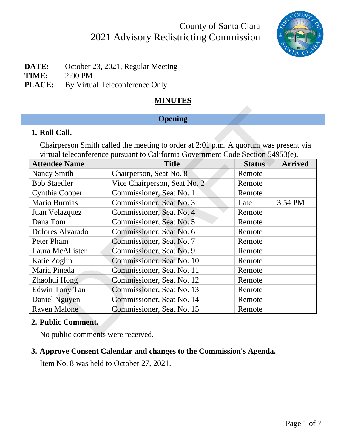

**DATE:** October 23, 2021, Regular Meeting **TIME:** 2:00 PM **PLACE:** By Virtual Teleconference Only

# **MINUTES**

# **Opening**

## **1. Roll Call.**

| <b>Opening</b>                                                                                                                                                         |                              |               |                |  |
|------------------------------------------------------------------------------------------------------------------------------------------------------------------------|------------------------------|---------------|----------------|--|
| 1. Roll Call.                                                                                                                                                          |                              |               |                |  |
| Chairperson Smith called the meeting to order at 2:01 p.m. A quorum was present via<br>virtual teleconference pursuant to California Government Code Section 54953(e). |                              |               |                |  |
| <b>Attendee Name</b>                                                                                                                                                   | <b>Title</b>                 | <b>Status</b> | <b>Arrived</b> |  |
| <b>Nancy Smith</b>                                                                                                                                                     | Chairperson, Seat No. 8      | Remote        |                |  |
| <b>Bob Staedler</b>                                                                                                                                                    | Vice Chairperson, Seat No. 2 | Remote        |                |  |
| Cynthia Cooper                                                                                                                                                         | Commissioner, Seat No. 1     | Remote        |                |  |
| Mario Burnias                                                                                                                                                          | Commissioner, Seat No. 3     | Late          | 3:54 PM        |  |
| Juan Velazquez                                                                                                                                                         | Commissioner, Seat No. 4     | Remote        |                |  |
| Dana Tom                                                                                                                                                               | Commissioner, Seat No. 5     | Remote        |                |  |
| Dolores Alvarado                                                                                                                                                       | Commissioner, Seat No. 6     | Remote        |                |  |
| Peter Pham                                                                                                                                                             | Commissioner, Seat No. 7     | Remote        |                |  |
| Laura McAllister                                                                                                                                                       | Commissioner, Seat No. 9     | Remote        |                |  |
| Katie Zoglin                                                                                                                                                           | Commissioner, Seat No. 10    | Remote        |                |  |
| Maria Pineda                                                                                                                                                           | Commissioner, Seat No. 11    | Remote        |                |  |
| Zhaohui Hong                                                                                                                                                           | Commissioner, Seat No. 12    | Remote        |                |  |
| <b>Edwin Tony Tan</b>                                                                                                                                                  | Commissioner, Seat No. 13    | Remote        |                |  |
| Daniel Nguyen                                                                                                                                                          | Commissioner, Seat No. 14    | Remote        |                |  |
| <b>Raven Malone</b>                                                                                                                                                    | Commissioner, Seat No. 15    | Remote        |                |  |
| 2. Public Comment.<br>No public comments were received.                                                                                                                |                              |               |                |  |
|                                                                                                                                                                        |                              |               |                |  |

# **2. Public Comment.**

No public comments were received.

# **3. Approve Consent Calendar and changes to the Commission's Agenda.**

Item No. 8 was held to October 27, 2021.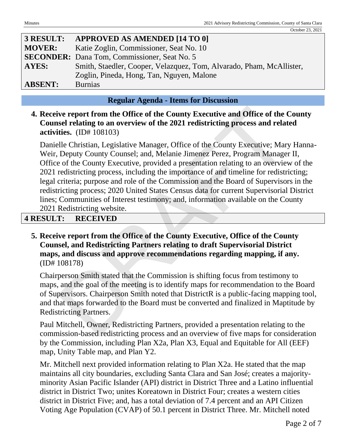| 3 RESULT:      | <b>APPROVED AS AMENDED [14 TO 0]</b>                                 |
|----------------|----------------------------------------------------------------------|
| <b>MOVER:</b>  | Katie Zoglin, Commissioner, Seat No. 10                              |
|                | <b>SECONDER:</b> Dana Tom, Commissioner, Seat No. 5                  |
| AYES:          | Smith, Staedler, Cooper, Velazquez, Tom, Alvarado, Pham, McAllister, |
|                | Zoglin, Pineda, Hong, Tan, Nguyen, Malone                            |
| <b>ABSENT:</b> | <b>Burnias</b>                                                       |

#### **Regular Agenda - Items for Discussion**

## **4. Receive report from the Office of the County Executive and Office of the County Counsel relating to an overview of the 2021 redistricting process and related activities.** (ID# 108103)

Danielle Christian, Legislative Manager, Office of the County Executive; Mary Hanna-Weir, Deputy County Counsel; and, Melanie Jimenez Perez, Program Manager II, Office of the County Executive, provided a presentation relating to an overview of the 2021 redistricting process, including the importance of and timeline for redistricting; legal criteria; purpose and role of the Commission and the Board of Supervisors in the redistricting process; 2020 United States Census data for current Supervisorial District lines; Communities of Interest testimony; and, information available on the County 2021 Redistricting website. ve report from the Office of the County Executive and Office of the the sel relating to an overview of the 2021 redistricting process and relations. (ID#108103)<br>Ille Christian, Legislative Manager, Office of the County Exe

### **4 RESULT: RECEIVED**

**5. Receive report from the Office of the County Executive, Office of the County Counsel, and Redistricting Partners relating to draft Supervisorial District maps, and discuss and approve recommendations regarding mapping, if any.** (ID# 108178)

Chairperson Smith stated that the Commission is shifting focus from testimony to maps, and the goal of the meeting is to identify maps for recommendation to the Board of Supervisors. Chairperson Smith noted that DistrictR is a public-facing mapping tool, and that maps forwarded to the Board must be converted and finalized in Maptitude by Redistricting Partners.

Paul Mitchell, Owner, Redistricting Partners, provided a presentation relating to the commission-based redistricting process and an overview of five maps for consideration by the Commission, including Plan X2a, Plan X3, Equal and Equitable for All (EEF) map, Unity Table map, and Plan Y2.

Mr. Mitchell next provided information relating to Plan X2a. He stated that the map maintains all city boundaries, excluding Santa Clara and San José; creates a majorityminority Asian Pacific Islander (API) district in District Three and a Latino influential district in District Two; unites Koreatown in District Four; creates a western cities district in District Five; and, has a total deviation of 7.4 percent and an API Citizen Voting Age Population (CVAP) of 50.1 percent in District Three. Mr. Mitchell noted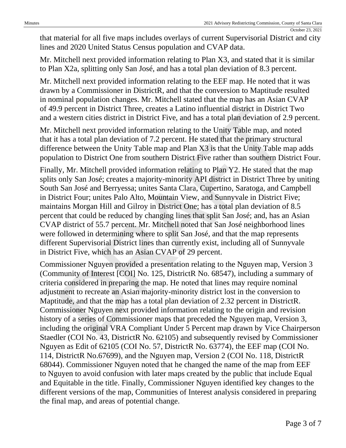that material for all five maps includes overlays of current Supervisorial District and city lines and 2020 United Status Census population and CVAP data.

Mr. Mitchell next provided information relating to Plan X3, and stated that it is similar to Plan X2a, splitting only San José, and has a total plan deviation of 8.3 percent.

Mr. Mitchell next provided information relating to the EEF map. He noted that it was drawn by a Commissioner in DistrictR, and that the conversion to Maptitude resulted in nominal population changes. Mr. Mitchell stated that the map has an Asian CVAP of 49.9 percent in District Three, creates a Latino influential district in District Two and a western cities district in District Five, and has a total plan deviation of 2.9 percent.

Mr. Mitchell next provided information relating to the Unity Table map, and noted that it has a total plan deviation of 7.2 percent. He stated that the primary structural difference between the Unity Table map and Plan X3 is that the Unity Table map adds population to District One from southern District Five rather than southern District Four.

Finally, Mr. Mitchell provided information relating to Plan Y2. He stated that the map splits only San José; creates a majority-minority API district in District Three by uniting South San José and Berryessa; unites Santa Clara, Cupertino, Saratoga, and Campbell in District Four; unites Palo Alto, Mountain View, and Sunnyvale in District Five; maintains Morgan Hill and Gilroy in District One; has a total plan deviation of 8.5 percent that could be reduced by changing lines that split San José; and, has an Asian CVAP district of 55.7 percent. Mr. Mitchell noted that San José neighborhood lines were followed in determining where to split San José, and that the map represents different Supervisorial District lines than currently exist, including all of Sunnyvale in District Five, which has an Asian CVAP of 29 percent. 9 percent in District Three, creates a Latino influential district in District<br>western cities district in District Five, and has a total plan deviation of 2.<br>thichell next provided information relating to the Unity Table

Commissioner Nguyen provided a presentation relating to the Nguyen map, Version 3 (Community of Interest [COI] No. 125, DistrictR No. 68547), including a summary of criteria considered in preparing the map. He noted that lines may require nominal adjustment to recreate an Asian majority-minority district lost in the conversion to Maptitude, and that the map has a total plan deviation of 2.32 percent in DistrictR. Commissioner Nguyen next provided information relating to the origin and revision history of a series of Commissioner maps that preceded the Nguyen map, Version 3, including the original VRA Compliant Under 5 Percent map drawn by Vice Chairperson Staedler (COI No. 43, DistrictR No. 62105) and subsequently revised by Commissioner Nguyen as Edit of 62105 (COI No. 57, DistrictR No. 63774), the EEF map (COI No. 114, DistrictR No.67699), and the Nguyen map, Version 2 (COI No. 118, DistrictR 68044). Commissioner Nguyen noted that he changed the name of the map from EEF to Nguyen to avoid confusion with later maps created by the public that include Equal and Equitable in the title. Finally, Commissioner Nguyen identified key changes to the different versions of the map, Communities of Interest analysis considered in preparing the final map, and areas of potential change.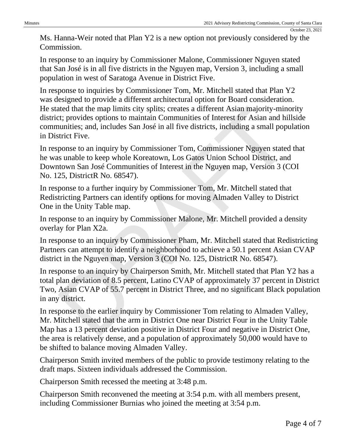Ms. Hanna-Weir noted that Plan Y2 is a new option not previously considered by the Commission.

In response to an inquiry by Commissioner Malone, Commissioner Nguyen stated that San José is in all five districts in the Nguyen map, Version 3, including a small population in west of Saratoga Avenue in District Five.

In response to inquiries by Commissioner Tom, Mr. Mitchell stated that Plan Y2 was designed to provide a different architectural option for Board consideration. He stated that the map limits city splits; creates a different Asian majority-minority district; provides options to maintain Communities of Interest for Asian and hillside communities; and, includes San José in all five districts, including a small population in District Five.

In response to an inquiry by Commissioner Tom, Commissioner Nguyen stated that he was unable to keep whole Koreatown, Los Gatos Union School District, and Downtown San José Communities of Interest in the Nguyen map, Version 3 (COI No. 125, DistrictR No. 68547).

In response to a further inquiry by Commissioner Tom, Mr. Mitchell stated that Redistricting Partners can identify options for moving Almaden Valley to District One in the Unity Table map.

In response to an inquiry by Commissioner Malone, Mr. Mitchell provided a density overlay for Plan X2a.

In response to an inquiry by Commissioner Pham, Mr. Mitchell stated that Redistricting Partners can attempt to identify a neighborhood to achieve a 50.1 percent Asian CVAP district in the Nguyen map, Version 3 (COI No. 125, DistrictR No. 68547).

In response to an inquiry by Chairperson Smith, Mr. Mitchell stated that Plan Y2 has a total plan deviation of 8.5 percent, Latino CVAP of approximately 37 percent in District Two, Asian CVAP of 55.7 percent in District Three, and no significant Black population in any district. ated that the map limits city splits; creates a different Asian majority-min<br>trit; provides options to maintain Communities of Interest for Asian and hi<br>sumities; and, includes San José in all five districts, including a s

In response to the earlier inquiry by Commissioner Tom relating to Almaden Valley, Mr. Mitchell stated that the arm in District One near District Four in the Unity Table Map has a 13 percent deviation positive in District Four and negative in District One, the area is relatively dense, and a population of approximately 50,000 would have to be shifted to balance moving Almaden Valley.

Chairperson Smith invited members of the public to provide testimony relating to the draft maps. Sixteen individuals addressed the Commission.

Chairperson Smith recessed the meeting at 3:48 p.m.

Chairperson Smith reconvened the meeting at 3:54 p.m. with all members present, including Commissioner Burnias who joined the meeting at 3:54 p.m.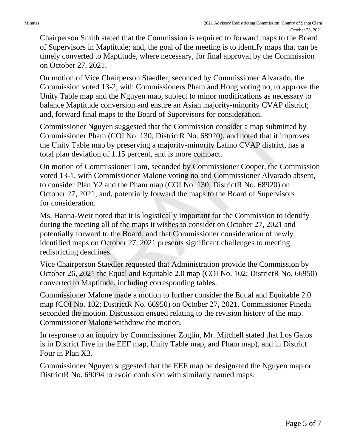Chairperson Smith stated that the Commission is required to forward maps to the Board of Supervisors in Maptitude; and, the goal of the meeting is to identify maps that can be timely converted to Maptitude, where necessary, for final approval by the Commission on October 27, 2021.

On motion of Vice Chairperson Staedler, seconded by Commissioner Alvarado, the Commission voted 13-2, with Commissioners Pham and Hong voting no, to approve the Unity Table map and the Nguyen map, subject to minor modifications as necessary to balance Maptitude conversion and ensure an Asian majority-minority CVAP district; and, forward final maps to the Board of Supervisors for consideration.

Commissioner Nguyen suggested that the Commission consider a map submitted by Commissioner Pham (COI No. 130, DistrictR No. 68920), and noted that it improves the Unity Table map by preserving a majority-minority Latino CVAP district, has a total plan deviation of 1.15 percent, and is more compact.

On motion of Commissioner Tom, seconded by Commissioner Cooper, the Commission voted 13-1, with Commissioner Malone voting no and Commissioner Alvarado absent, to consider Plan Y2 and the Pham map (COI No. 130; DistrictR No. 68920) on October 27, 2021; and, potentially forward the maps to the Board of Supervisors for consideration. E waptimue conversion and ensure and example in the mass and more than the computer of the Board of Supervisors for consideration.<br>Inissioner Nguyen suggested that the Commission consider a map submittinissioner Pham (COI

Ms. Hanna-Weir noted that it is logistically important for the Commission to identify during the meeting all of the maps it wishes to consider on October 27, 2021 and potentially forward to the Board, and that Commissioner consideration of newly identified maps on October 27, 2021 presents significant challenges to meeting redistricting deadlines.

Vice Chairperson Staedler requested that Administration provide the Commission by October 26, 2021 the Equal and Equitable 2.0 map (COI No. 102; DistrictR No. 66950) converted to Maptitude, including corresponding tables.

Commissioner Malone made a motion to further consider the Equal and Equitable 2.0 map (COI No. 102; DistrictR No. 66950) on October 27, 2021. Commissioner Pineda seconded the motion. Discussion ensued relating to the revision history of the map. Commissioner Malone withdrew the motion.

In response to an inquiry by Commissioner Zoglin, Mr. Mitchell stated that Los Gatos is in District Five in the EEF map, Unity Table map, and Pham map), and in District Four in Plan X3.

Commissioner Nguyen suggested that the EEF map be designated the Nguyen map or DistrictR No. 69094 to avoid confusion with similarly named maps.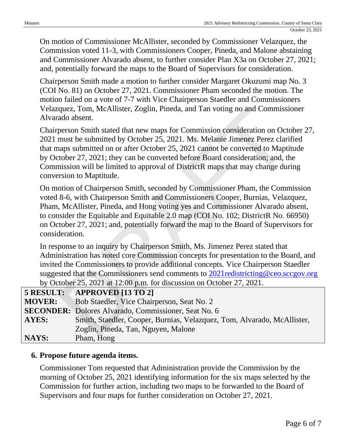On motion of Commissioner McAllister, seconded by Commissioner Velazquez, the Commission voted 11-3, with Commissioners Cooper, Pineda, and Malone abstaining and Commissioner Alvarado absent, to further consider Plan X3a on October 27, 2021; and, potentially forward the maps to the Board of Supervisors for consideration.

Chairperson Smith made a motion to further consider Margaret Okuzumi map No. 3 (COI No. 81) on October 27, 2021. Commissioner Pham seconded the motion. The motion failed on a vote of 7-7 with Vice Chairperson Staedler and Commissioners Velazquez, Tom, McAllister, Zoglin, Pineda, and Tan voting no and Commissioner Alvarado absent.

Chairperson Smith stated that new maps for Commission consideration on October 27, 2021 must be submitted by October 25, 2021. Ms. Melanie Jimenez Perez clarified that maps submitted on or after October 25, 2021 cannot be converted to Maptitude by October 27, 2021; they can be converted before Board consideration; and, the Commission will be limited to approval of DistrictR maps that may change during conversion to Maptitude. quez, Tom, McAllister, Zoglin, Pineda, and Tan voting no and Commissi<br>ado absent.<br>person Smith stated that new maps for Commission consideration on Oct<br>must be submitted by October 25, 2021. Ms. Melanie Jimenez Perez clari

On motion of Chairperson Smith, seconded by Commissioner Pham, the Commission voted 8-6, with Chairperson Smith and Commissioners Cooper, Burnias, Velazquez, Pham, McAllister, Pineda, and Hong voting yes and Commissioner Alvarado absent, to consider the Equitable and Equitable 2.0 map (COI No. 102; DistrictR No. 66950) on October 27, 2021; and, potentially forward the map to the Board of Supervisors for consideration.

In response to an inquiry by Chairperson Smith, Ms. Jimenez Perez stated that Administration has noted core Commission concepts for presentation to the Board, and invited the Commissioners to provide additional concepts. Vice Chairperson Staedler suggested that the Commissioners send comments to [2021redistricting@ceo.sccgov.org](mailto:2021redistricting@ceo.sccgov.org) by October 25, 2021 at 12:00 p.m. for discussion on October 27, 2021.

| <b>5 RESULT:</b> | APPROVED [13 TO 2]                                                      |
|------------------|-------------------------------------------------------------------------|
| <b>MOVER:</b>    | Bob Staedler, Vice Chairperson, Seat No. 2                              |
|                  | <b>SECONDER:</b> Dolores Alvarado, Commissioner, Seat No. 6             |
| <b>AYES:</b>     | Smith, Staedler, Cooper, Burnias, Velazquez, Tom, Alvarado, McAllister, |
|                  | Zoglin, Pineda, Tan, Nguyen, Malone                                     |
| NAYS:            | Pham, Hong                                                              |

# **6. Propose future agenda items.**

Commissioner Tom requested that Administration provide the Commission by the morning of October 25, 2021 identifying information for the six maps selected by the Commission for further action, including two maps to be forwarded to the Board of Supervisors and four maps for further consideration on October 27, 2021.